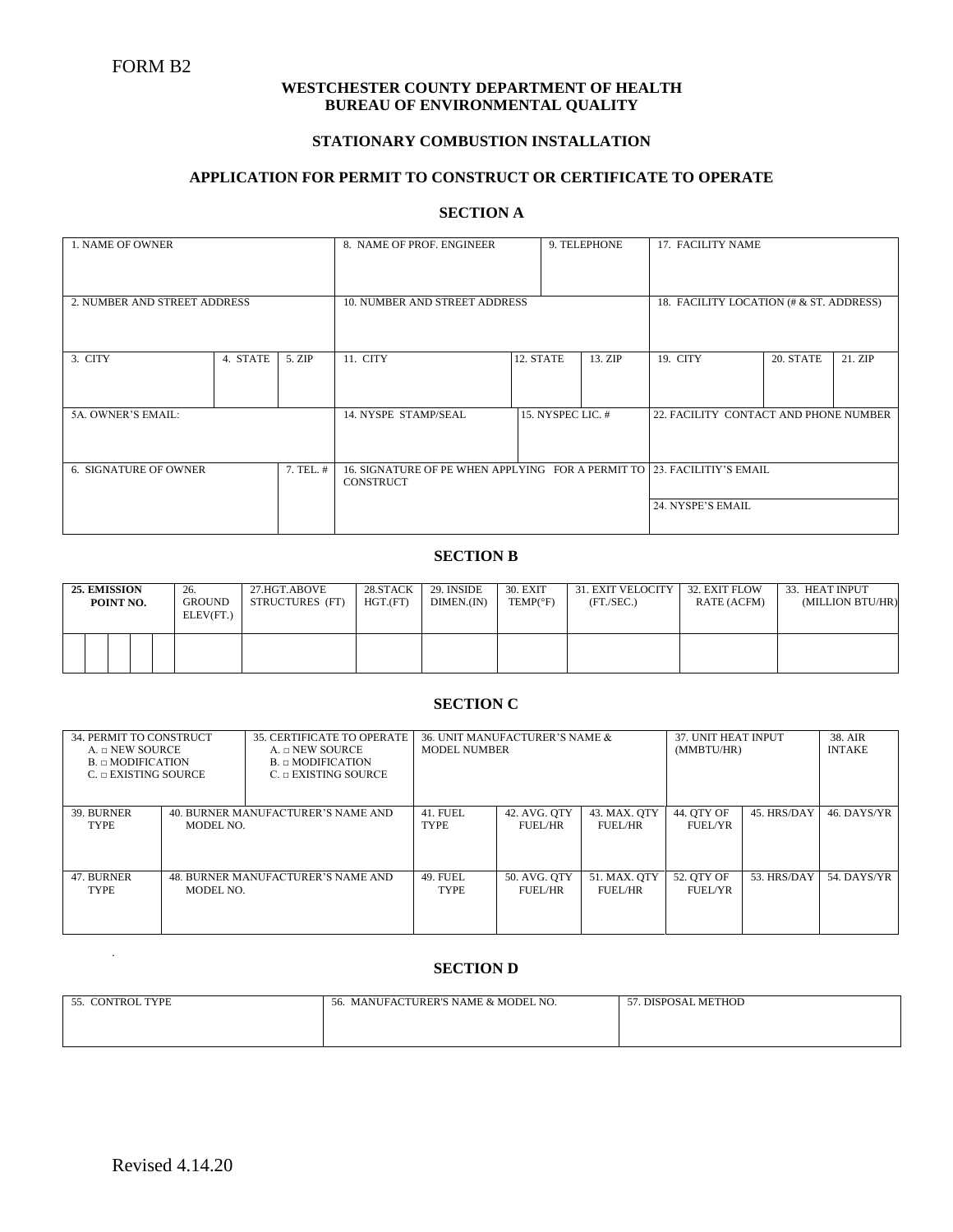### **WESTCHESTER COUNTY DEPARTMENT OF HEALTH BUREAU OF ENVIRONMENTAL QUALITY**

## **STATIONARY COMBUSTION INSTALLATION**

#### **APPLICATION FOR PERMIT TO CONSTRUCT OR CERTIFICATE TO OPERATE**

## **SECTION A**

| 1. NAME OF OWNER                          |          |        | 8. NAME OF PROF. ENGINEER                                               |           |                   | 9. TELEPHONE                            | 17. FACILITY NAME                     |           |         |
|-------------------------------------------|----------|--------|-------------------------------------------------------------------------|-----------|-------------------|-----------------------------------------|---------------------------------------|-----------|---------|
|                                           |          |        |                                                                         |           |                   |                                         |                                       |           |         |
|                                           |          |        |                                                                         |           |                   |                                         |                                       |           |         |
| 2. NUMBER AND STREET ADDRESS              |          |        | 10. NUMBER AND STREET ADDRESS                                           |           |                   | 18. FACILITY LOCATION (# & ST. ADDRESS) |                                       |           |         |
|                                           |          |        |                                                                         |           |                   |                                         |                                       |           |         |
|                                           |          |        |                                                                         |           |                   |                                         |                                       |           |         |
| 3. CITY                                   | 4. STATE | 5. ZIP | 11. CITY                                                                | 12. STATE |                   | 13. ZIP                                 | 19. CITY                              | 20. STATE | 21. ZIP |
|                                           |          |        |                                                                         |           |                   |                                         |                                       |           |         |
|                                           |          |        |                                                                         |           |                   |                                         |                                       |           |         |
| 5A. OWNER'S EMAIL:                        |          |        | 14. NYSPE STAMP/SEAL                                                    |           | 15. NYSPEC LIC. # |                                         | 22. FACILITY CONTACT AND PHONE NUMBER |           |         |
|                                           |          |        |                                                                         |           |                   |                                         |                                       |           |         |
|                                           |          |        |                                                                         |           |                   |                                         |                                       |           |         |
|                                           |          |        |                                                                         |           |                   |                                         |                                       |           |         |
| <b>6. SIGNATURE OF OWNER</b><br>7. TEL. # |          |        | 16. SIGNATURE OF PE WHEN APPLYING FOR A PERMIT TO 23. FACILITIY'S EMAIL |           |                   |                                         |                                       |           |         |
|                                           |          |        | CONSTRUCT                                                               |           |                   |                                         |                                       |           |         |
|                                           |          |        |                                                                         |           |                   |                                         | 24. NYSPE'S EMAIL                     |           |         |
|                                           |          |        |                                                                         |           |                   |                                         |                                       |           |         |
|                                           |          |        |                                                                         |           |                   |                                         |                                       |           |         |

# **SECTION B**

| 25. EMISSION | POINT NO. |  | 26.<br><b>GROUND</b><br>ELEV(FT.) | 27.HGT.ABOVE<br>STRUCTURES (FT) | 28.STACK<br>HGT.(FT) | 29. INSIDE<br>DIMEN.(IN) | 30. EXIT<br>$TEMP(^{\circ}F)$ | 31. EXIT VELOCITY  <br>(FT./SEC.) | 32. EXIT FLOW<br>RATE (ACFM) | 33. HEAT INPUT<br>(MILLION BTU/HR) |
|--------------|-----------|--|-----------------------------------|---------------------------------|----------------------|--------------------------|-------------------------------|-----------------------------------|------------------------------|------------------------------------|
|              |           |  |                                   |                                 |                      |                          |                               |                                   |                              |                                    |

## **SECTION C**

| 34. PERMIT TO CONSTRUCT<br>$A. \neg$ NEW SOURCE<br>$B_n \cap MODIFICATION$<br>$C_n \cap EXISTING$ SOURCE |                                                 | 35. CERTIFICATE TO OPERATE<br>$A. \n\neg$ NEW SOURCE<br>$B_n \cap MODIFICATION$<br>$C_{n}$ EXISTING SOURCE | 36. UNIT MANUFACTURER'S NAME &<br><b>MODEL NUMBER</b> |                         |                              | 37. UNIT HEAT INPUT<br>(MMBTU/HR) |             | 38. AIR<br><b>INTAKE</b> |
|----------------------------------------------------------------------------------------------------------|-------------------------------------------------|------------------------------------------------------------------------------------------------------------|-------------------------------------------------------|-------------------------|------------------------------|-----------------------------------|-------------|--------------------------|
| 39. BURNER<br><b>TYPE</b>                                                                                | 40. BURNER MANUFACTURER'S NAME AND<br>MODEL NO. |                                                                                                            | <b>41. FUEL</b><br>TYPE                               | 42. AVG. QTY<br>FUEL/HR | 43. MAX. OTY<br>FUEL/HR      | 44. OTY OF<br>FUEL/YR             | 45. HRS/DAY | 46. DAYS/YR              |
| 47. BURNER<br>48. BURNER MANUFACTURER'S NAME AND<br>MODEL NO.<br><b>TYPE</b>                             |                                                 | <b>49. FUEL</b><br><b>TYPE</b>                                                                             | 50. AVG. QTY<br>FUEL/HR                               | 51. MAX. OTY<br>FUEL/HR | 52. OTY OF<br><b>FUEL/YR</b> | 53. HRS/DAY                       | 54. DAYS/YR |                          |

#### **SECTION D**

| <b>CONTROL TYPE</b><br>55 | MANUFACTURER'S NAME & MODEL NO.<br>56. | . DISPOSAL METHOD |
|---------------------------|----------------------------------------|-------------------|
|                           |                                        |                   |
|                           |                                        |                   |

.